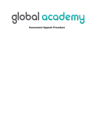

**Assessment Appeals Procedure**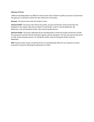### **Glossary of Terms:**

Different awarding bodies use different names for the roles involved in quality assurance of assessment. This glossary is intended to clarify the roles referred to in the policy.

**Assessor**: The person who marks the student's work.

**Internal Verifier**: The person who checks the quality, accuracy and fairness of the assessment and feedback to the student. May also be called IV, Lead Verifier, Lead IV, Internal Moderator, IM, Moderator, Internal Standards Verifier, IQA, Internal Quality Assurer.

**External Verifier**: The person appointed by the awarding body to check the quality and fairness of both the assessment and the internal verification against national standards. This role may also be referred to as: EQA, External Quality Assurer, SV, Standards Verifier, External Standards Verifier, External Moderator.

**EAR**: Enquiries about results; the period of time an awarding body allows for any requests to review assessment outcomes following the publication of results.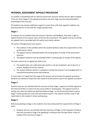# **INTERNAL ASSESSMENT APPEALS PROCEDURE**

If a student is dissatisfied with an internal assessment outcome she/he has the right of appeal. There are three stages in the appeals procedure and each stage must be exhausted before proceeding to the next one.

All students may request additional support to assist them with their appeal to address any perceived barriers in line with the 'Single Equality Duty'.

# **Stage 1**

If students are not satisfied with the assessor's decision and feedback, they have a right to appeal directly to the assessor who carried out the assessment. This appeal must be in writing (an appeals form is provided with this policy) and clearly indicate:

The points of disagreement and reasons.

- The evidence in the portfolio which the student believes meets the requirements of the performance criteria.
- The appeal must be submitted within five working days of receipt of the assessment outcome.
- The appeal response must be provided within 5 working days of receipt of the appeal.

The main reasons for an appeal are likely to be:

- The student does not understand why she/he is not yet competent, due to lack of, or unclear, feedback from the assessor.
- The student believes she/he is competent and that the assessor has misjudged them or missed/misinterpreted some vital evidence.

In most cases it is hoped that this stage of the process will terminate the appeals procedure. Students are advised to keep their own copies of all documents used in the appeals procedure.

# **Stage 2**

Students who are not satisfied with the outcome of their Stage 1 appeal can further appeal to the Internal Verifier or Lead IV for the course within 3 working days. This appeal must be in writing, but need not repeat the detail provided at Stage 1 as all the documentation used at Stage 1 will be passed on to the Internal Verifier/ Lead IV. The Internal Verifier/ Lead IV will report back to the student in three working days.

# **Stage 3**

Before proceeding to Stage 3, the students must have exhausted the requirements of Stage 1 and 2.

• Students who are not satisfied with the outcomes of Stage 2 of the Appeals Procedure may then proceed to Stage 3 by appealing in writing to the Principal within 3 days of receipt of the outcome of stage 2.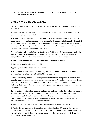• The Principal will examine the findings and call a meeting to report to the student, assessor and internal verifier.

# **APPEALS TO AN AWARDING BODY**

Before proceeding, the students must have exhausted all the internal Appeals Procedures of the Centre.

Students who are not satisfied with the outcomes of Stage 3 of the Appeals Procedure may then appeal to the Awarding Body.

This appeal must be in writing to the Chief Executive of the awarding body (or person advised by awarding body), and be accompanied by copies of all the documentation used in Stages 1, 2 and 3. Global Academy will provide the information of the awarding body and will facilitate arrangements where required. There must also be evidence that students have exhausted all the internal appeals procedures of Global Academy.

An investigation will be undertaken by the External Verifier/ Quality Assurer appointed by the awarding body. On receipt of a report, the application will be considered by the awarding body's 'Appeals Committee'. This consideration will lead to one of two decisions:

**1. The appeals committee supports the decision of the External Verifier.** 

### **2. The appeal may be rejected or upheld.**

### **Appeals against external assessment decisions**

This procedure enables students to appeal against the outcome of external assessment and the process of controlled assessments within Global Academy.

If a student has any concerns about the procedures used in assessing their internally assessed work for public exams i.e. controlled assessment/coursework/portfolios, she/he should discuss the matter with the Course Leader and Vice Principal for Core Curriculum immediately. Following that, if the matter remains unresolved, the formal appeal procedure may be used by the student concerned.

On completion of external assessments and the notification of results, Curriculum Managers or Students themselves may wish to appeal the outcome. Each awarding body has specific procedures to be followed which follow the guidelines agreed by the Joint Council for Qualifications (JCQ). Therefore, all appeals against external assessment decisions will be processed and managed by the Examinations Officer.

The procedure for appealing against external assessment decisions is as follows:

1. The Curriculum Manager or Student informs the Examinations Officer that they wish to appeal an assessment decision as soon as they receive notification of their results. This should normally allow at least 5 days before an awarding body deadline for closing their 'Enquiries About Results' (EAR) procedure.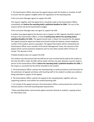2. The Examinations Officer discusses the appeal request with the Student or member of staff to ensure that the appeal is eligible within the regulations of the awarding body.

If the Curriculum Manager agrees to support the EAR:

The request, together with the appeal form, should be made to the Examinations Officer immediately and **before the awarding body's published deadline for EARs**. The cost of the enquiry will be met by the Examinations budget.

If the Curriculum Manager does not agree to support the EAR:

A student may appeal against the decision not to support an EAR. Appeals should be made in writing to the Examinations Officer, at least **5 working days before the awarding body's published deadline for EARs**. The appeal should state, in detail, the reason(s) for the appeal. This appeal should be signed and dated and should include the daytime contact telephone number of the student, parent or guardian. The appeal information will be reviewed by the Examinations Officer and a member of the Senior Management Team; the outcome of the appeal will be communicated by telephone and 1st class letter posted within 24 hours of receipt. This decision is final.

If Global Academy does not support the EAR:

The student may still proceed with the EAR but all costs involved will be paid by the student at the time the EAR is made. No EARs will be made until fees are paid. Requests must be made in person to the Examinations Officer **before the awarding body's published deadline for EARs**. If the enquiry is successful the fee will be refunded to the student.

3. The Examinations Officer contacts the awarding body to clarify procedures and timescales for the submission of appeals and liaises with teaching staff or the student to collate any evidence being submitted in support of the appeal.

4. The Examinations Officer submits the appeal to the awarding body, together with any supporting evidence, and notifies the student/teaching staff.

5. On receipt of the appeal outcome, the Examinations Officer communicates the result to the relevant parties in line with awarding body requirements

\* Many awarding bodies communicate appeal outcomes directly to students, copying centres for information only.